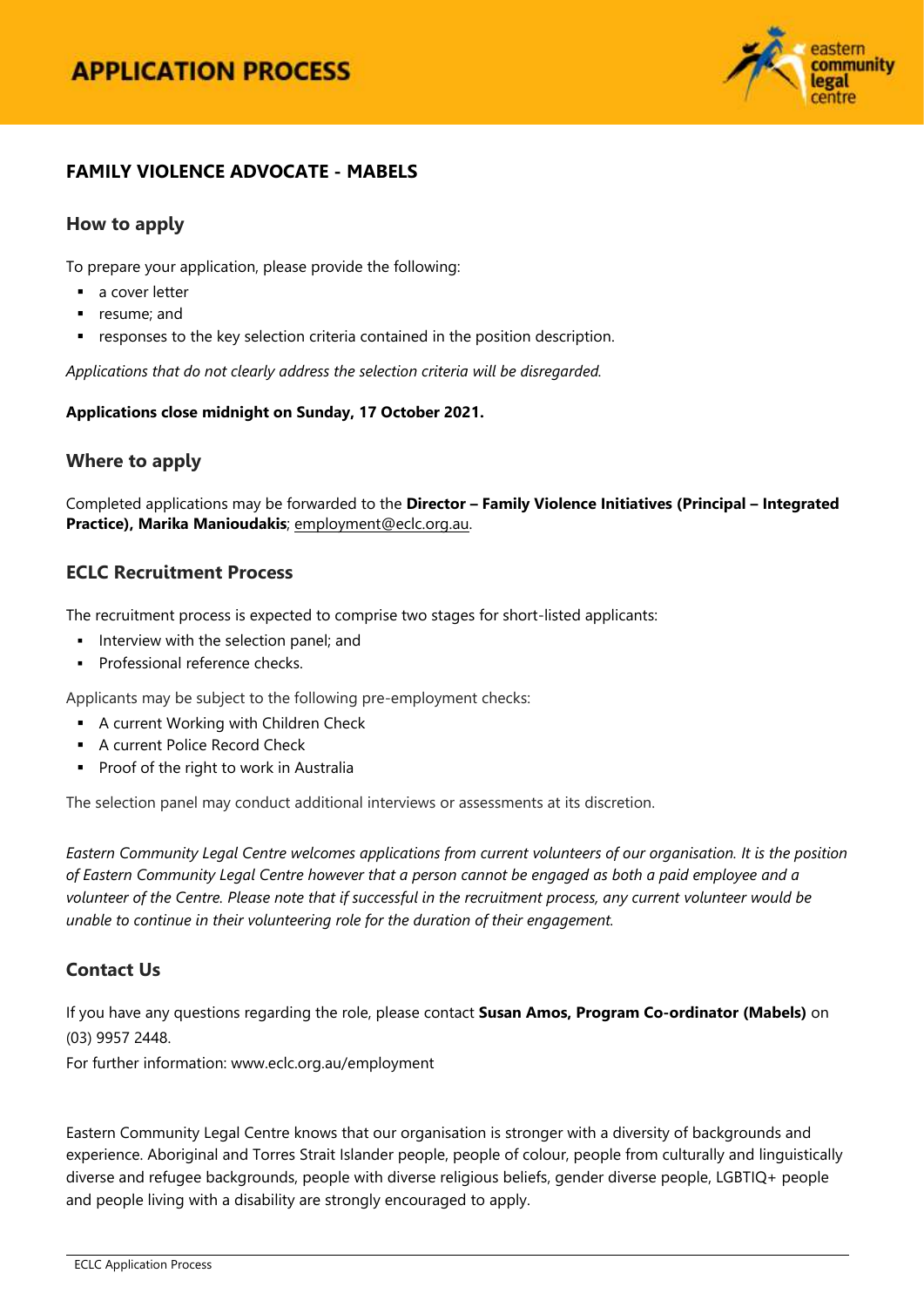

## **FAMILY VIOLENCE ADVOCATE - MABELS**

## **How to apply**

To prepare your application, please provide the following:

- a cover letter
- **•** resume; and
- responses to the key selection criteria contained in the position description.

*Applications that do not clearly address the selection criteria will be disregarded.*

#### **Applications close midnight on Sunday, 17 October 2021.**

## **Where to apply**

Completed applications may be forwarded to the **Director – Family Violence Initiatives (Principal – Integrated Practice), Marika Manioudakis**; [employment@eclc.org.au.](mailto:employment@eclc.org.au)

## **ECLC Recruitment Process**

The recruitment process is expected to comprise two stages for short-listed applicants:

- Interview with the selection panel; and
- **Professional reference checks.**

Applicants may be subject to the following pre-employment checks:

- **A current Working with Children Check**
- **A current Police Record Check**
- **Proof of the right to work in Australia**

The selection panel may conduct additional interviews or assessments at its discretion.

*Eastern Community Legal Centre welcomes applications from current volunteers of our organisation. It is the position of Eastern Community Legal Centre however that a person cannot be engaged as both a paid employee and a volunteer of the Centre. Please note that if successful in the recruitment process, any current volunteer would be unable to continue in their volunteering role for the duration of their engagement.*

## **Contact Us**

If you have any questions regarding the role, please contact **Susan Amos, Program Co-ordinator (Mabels)** on (03) 9957 2448.

For further information[: www.eclc.org.au/employment](http://www.eclc.org.au/employment) 

Eastern Community Legal Centre knows that our organisation is stronger with a diversity of backgrounds and experience. Aboriginal and Torres Strait Islander people, people of colour, people from culturally and linguistically diverse and refugee backgrounds, people with diverse religious beliefs, gender diverse people, LGBTIQ+ people and people living with a disability are strongly encouraged to apply.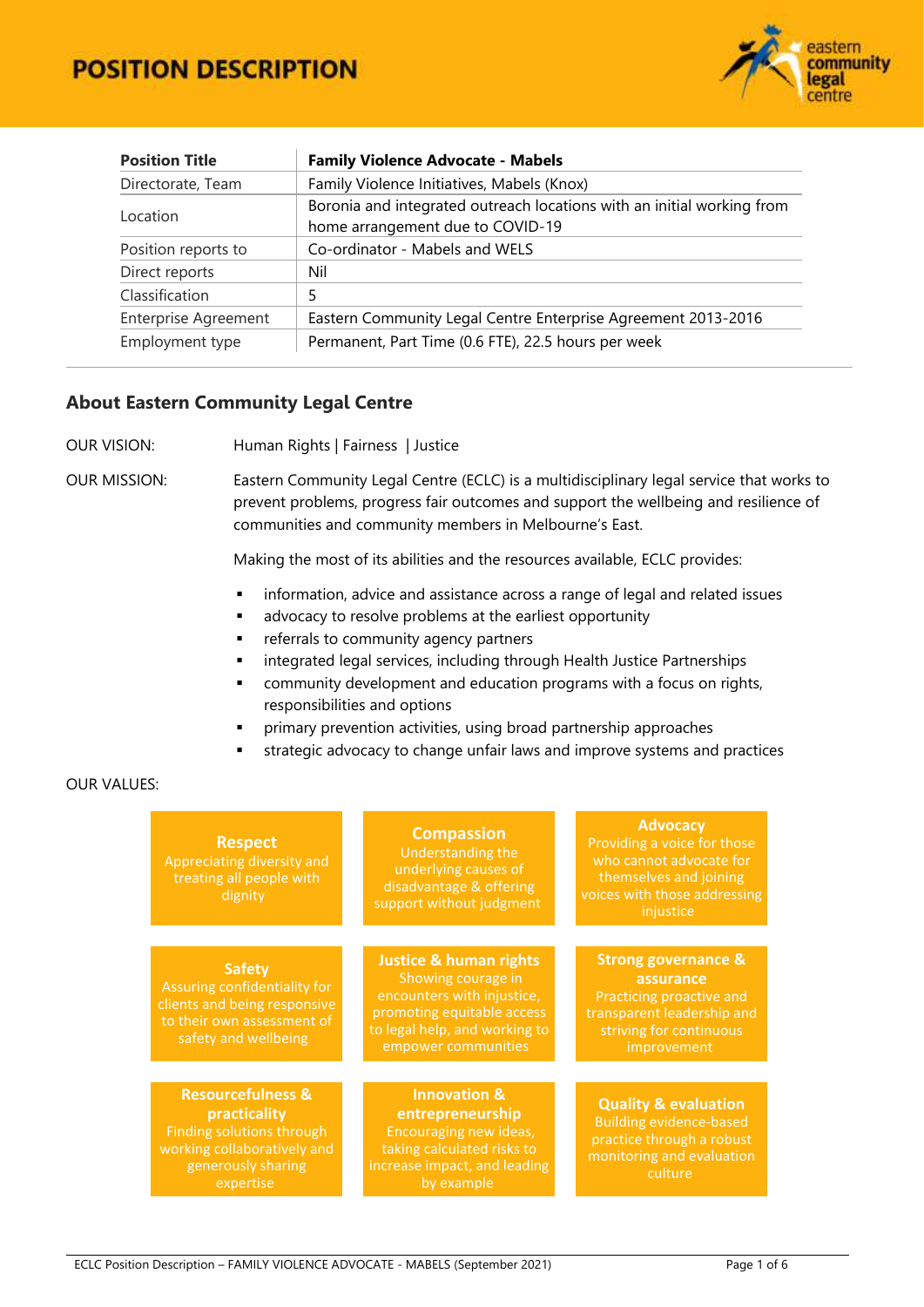

| <b>Position Title</b>       | <b>Family Violence Advocate - Mabels</b>                                                                   |
|-----------------------------|------------------------------------------------------------------------------------------------------------|
| Directorate, Team           | Family Violence Initiatives, Mabels (Knox)                                                                 |
| Location                    | Boronia and integrated outreach locations with an initial working from<br>home arrangement due to COVID-19 |
| Position reports to         | Co-ordinator - Mabels and WELS                                                                             |
| Direct reports              | Nil                                                                                                        |
| Classification              | 5                                                                                                          |
| <b>Enterprise Agreement</b> | Eastern Community Legal Centre Enterprise Agreement 2013-2016                                              |
| Employment type             | Permanent, Part Time (0.6 FTE), 22.5 hours per week                                                        |

## **About Eastern Community Legal Centre**

OUR VISION: Human Rights | Fairness | Justice

OUR MISSION: Eastern Community Legal Centre (ECLC) is a multidisciplinary legal service that works to prevent problems, progress fair outcomes and support the wellbeing and resilience of communities and community members in Melbourne's East.

Making the most of its abilities and the resources available, ECLC provides:

- **·** information, advice and assistance across a range of legal and related issues
- **a** advocacy to resolve problems at the earliest opportunity
- **Fig. 2** referrals to community agency partners
- **EXEDENT Integrated legal services, including through Health Justice Partnerships**
- community development and education programs with a focus on rights, responsibilities and options
- primary prevention activities, using broad partnership approaches
- strategic advocacy to change unfair laws and improve systems and practices

#### OUR VALUES:

| <b>Respect</b><br>Appreciating diversity and<br>treating all people with<br>dignity                                                         | <b>Compassion</b><br>Understanding the<br>underlying causes of<br>disadvantage & offering<br>support without judgment                                                       | <b>Advocacy</b><br>Providing a voice for those<br>who cannot advocate for<br>themselves and joining<br>voices with those addressing<br>injustice |
|---------------------------------------------------------------------------------------------------------------------------------------------|-----------------------------------------------------------------------------------------------------------------------------------------------------------------------------|--------------------------------------------------------------------------------------------------------------------------------------------------|
|                                                                                                                                             |                                                                                                                                                                             |                                                                                                                                                  |
| <b>Safety</b><br>Assuring confidentiality for<br>clients and being responsive<br>to their own assessment of<br>safety and wellbeing         | <b>Justice &amp; human rights</b><br>Showing courage in<br>encounters with injustice,<br>promoting equitable access<br>to legal help, and working to<br>empower communities | <b>Strong governance &amp;</b><br>assurance<br>Practicing proactive and<br>transparent leadership and<br>striving for continuous<br>improvement  |
|                                                                                                                                             |                                                                                                                                                                             |                                                                                                                                                  |
| <b>Resourcefulness &amp;</b><br>practicality<br>Finding solutions through<br>working collaboratively and<br>generously sharing<br>expertise | <b>Innovation &amp;</b><br>entrepreneurship<br>Encouraging new ideas,<br>taking calculated risks to<br>increase impact, and leading<br>by example                           | <b>Quality &amp; evaluation</b><br><b>Building evidence-based</b><br>practice through a robust<br>monitoring and evaluation<br>culture           |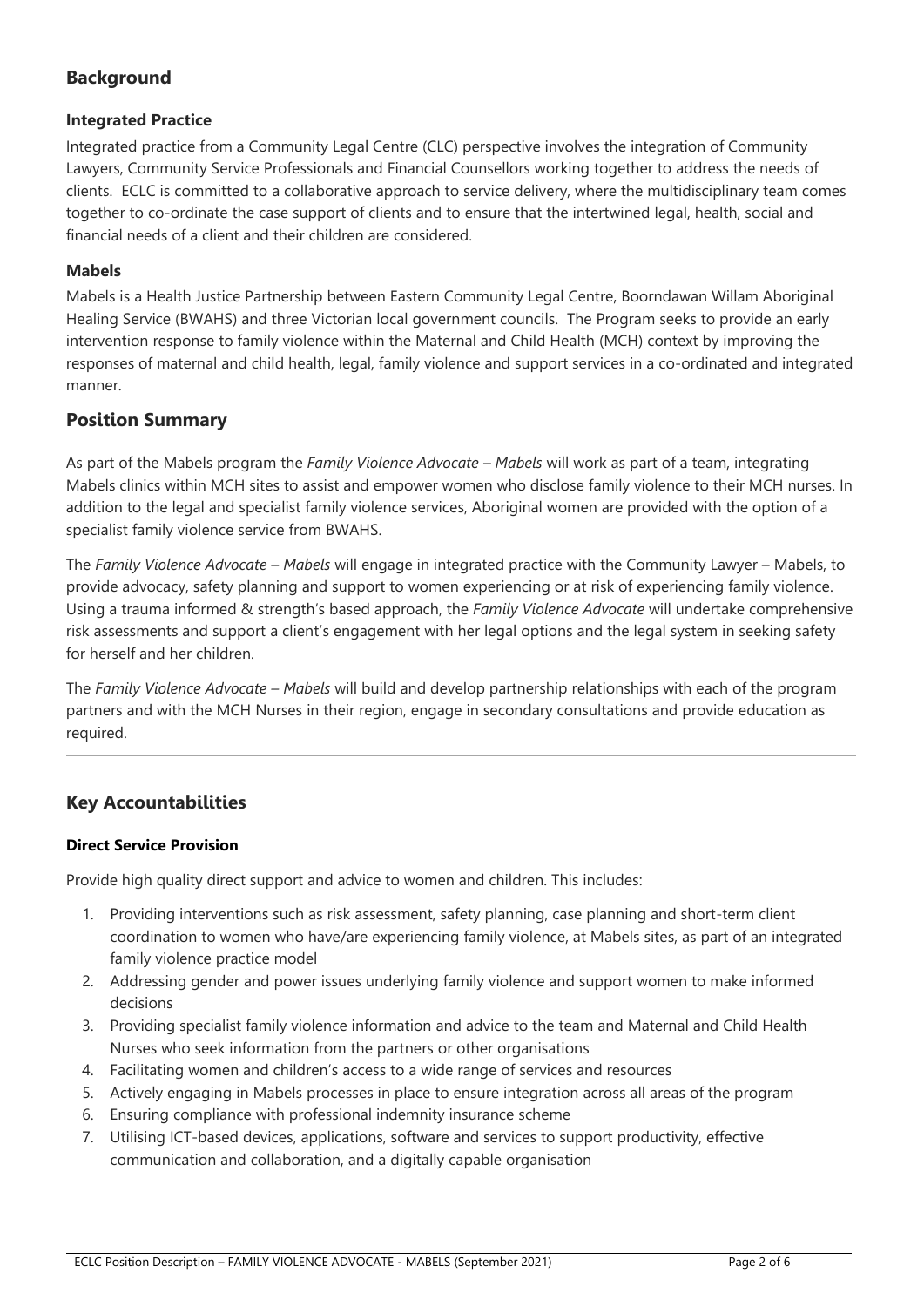# **Background**

## **Integrated Practice**

Integrated practice from a Community Legal Centre (CLC) perspective involves the integration of Community Lawyers, Community Service Professionals and Financial Counsellors working together to address the needs of clients. ECLC is committed to a collaborative approach to service delivery, where the multidisciplinary team comes together to co-ordinate the case support of clients and to ensure that the intertwined legal, health, social and financial needs of a client and their children are considered.

## **Mabels**

Mabels is a Health Justice Partnership between Eastern Community Legal Centre, Boorndawan Willam Aboriginal Healing Service (BWAHS) and three Victorian local government councils. The Program seeks to provide an early intervention response to family violence within the Maternal and Child Health (MCH) context by improving the responses of maternal and child health, legal, family violence and support services in a co-ordinated and integrated manner.

## **Position Summary**

As part of the Mabels program the *Family Violence Advocate – Mabels* will work as part of a team, integrating Mabels clinics within MCH sites to assist and empower women who disclose family violence to their MCH nurses. In addition to the legal and specialist family violence services, Aboriginal women are provided with the option of a specialist family violence service from BWAHS.

The *Family Violence Advocate – Mabels* will engage in integrated practice with the Community Lawyer – Mabels, to provide advocacy, safety planning and support to women experiencing or at risk of experiencing family violence. Using a trauma informed & strength's based approach, the *Family Violence Advocate* will undertake comprehensive risk assessments and support a client's engagement with her legal options and the legal system in seeking safety for herself and her children.

The *Family Violence Advocate – Mabels* will build and develop partnership relationships with each of the program partners and with the MCH Nurses in their region, engage in secondary consultations and provide education as required.

## **Key Accountabilities**

#### **Direct Service Provision**

Provide high quality direct support and advice to women and children. This includes:

- 1. Providing interventions such as risk assessment, safety planning, case planning and short-term client coordination to women who have/are experiencing family violence, at Mabels sites, as part of an integrated family violence practice model
- 2. Addressing gender and power issues underlying family violence and support women to make informed decisions
- 3. Providing specialist family violence information and advice to the team and Maternal and Child Health Nurses who seek information from the partners or other organisations
- 4. Facilitating women and children's access to a wide range of services and resources
- 5. Actively engaging in Mabels processes in place to ensure integration across all areas of the program
- 6. Ensuring compliance with professional indemnity insurance scheme
- 7. Utilising ICT-based devices, applications, software and services to support productivity, effective communication and collaboration, and a digitally capable organisation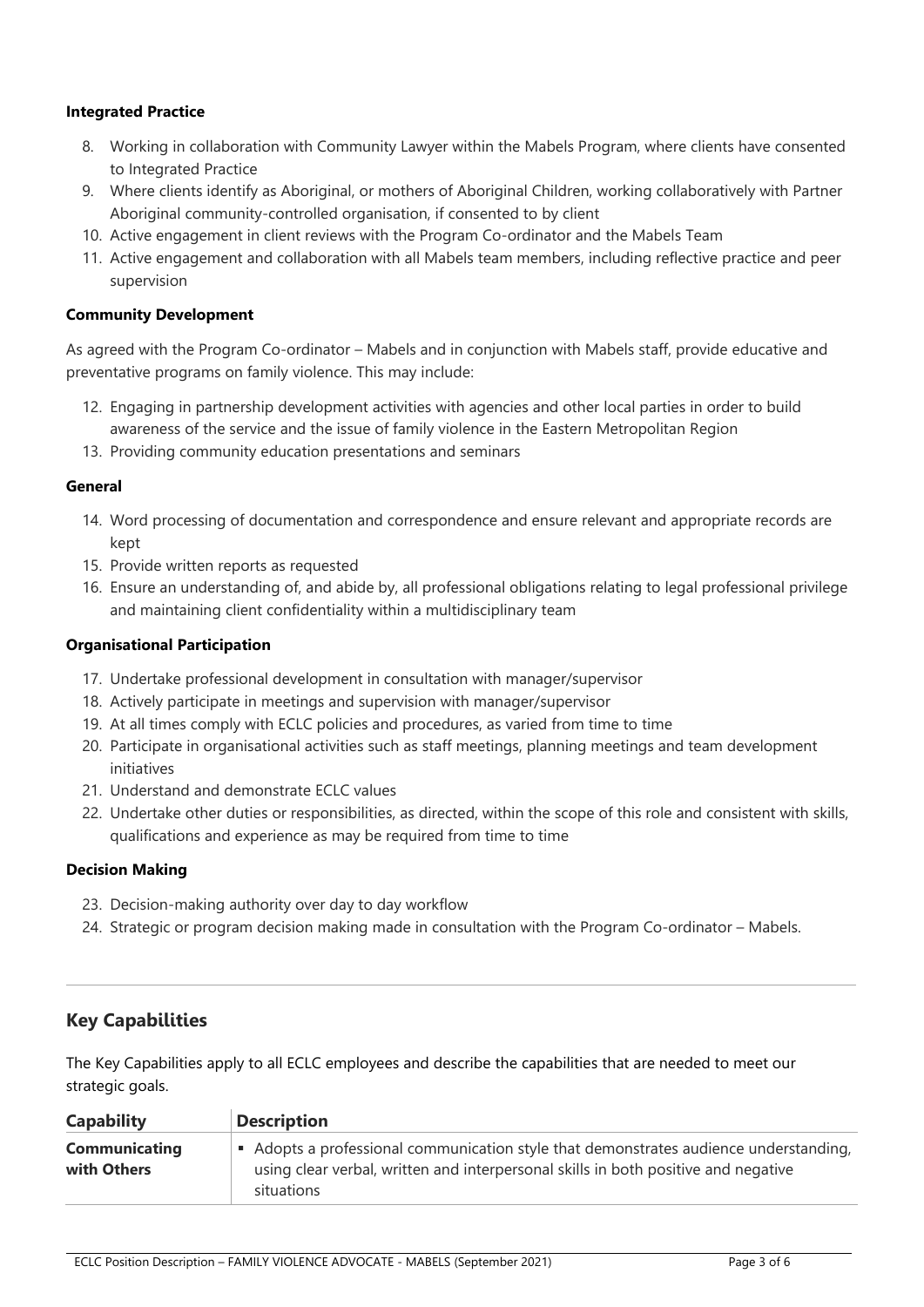#### **Integrated Practice**

- 8. Working in collaboration with Community Lawyer within the Mabels Program, where clients have consented to Integrated Practice
- 9. Where clients identify as Aboriginal, or mothers of Aboriginal Children, working collaboratively with Partner Aboriginal community-controlled organisation, if consented to by client
- 10. Active engagement in client reviews with the Program Co-ordinator and the Mabels Team
- 11. Active engagement and collaboration with all Mabels team members, including reflective practice and peer supervision

#### **Community Development**

As agreed with the Program Co-ordinator – Mabels and in conjunction with Mabels staff, provide educative and preventative programs on family violence. This may include:

- 12. Engaging in partnership development activities with agencies and other local parties in order to build awareness of the service and the issue of family violence in the Eastern Metropolitan Region
- 13. Providing community education presentations and seminars

#### **General**

- 14. Word processing of documentation and correspondence and ensure relevant and appropriate records are kept
- 15. Provide written reports as requested
- 16. Ensure an understanding of, and abide by, all professional obligations relating to legal professional privilege and maintaining client confidentiality within a multidisciplinary team

#### **Organisational Participation**

- 17. Undertake professional development in consultation with manager/supervisor
- 18. Actively participate in meetings and supervision with manager/supervisor
- 19. At all times comply with ECLC policies and procedures, as varied from time to time
- 20. Participate in organisational activities such as staff meetings, planning meetings and team development initiatives
- 21. Understand and demonstrate ECLC values
- 22. Undertake other duties or responsibilities, as directed, within the scope of this role and consistent with skills, qualifications and experience as may be required from time to time

#### **Decision Making**

- 23. Decision-making authority over day to day workflow
- 24. Strategic or program decision making made in consultation with the Program Co-ordinator Mabels.

## **Key Capabilities**

The Key Capabilities apply to all ECLC employees and describe the capabilities that are needed to meet our strategic goals.

| <b>Capability</b>                   | <b>Description</b>                                                                                                                                                                      |
|-------------------------------------|-----------------------------------------------------------------------------------------------------------------------------------------------------------------------------------------|
| <b>Communicating</b><br>with Others | Adopts a professional communication style that demonstrates audience understanding,<br>using clear verbal, written and interpersonal skills in both positive and negative<br>situations |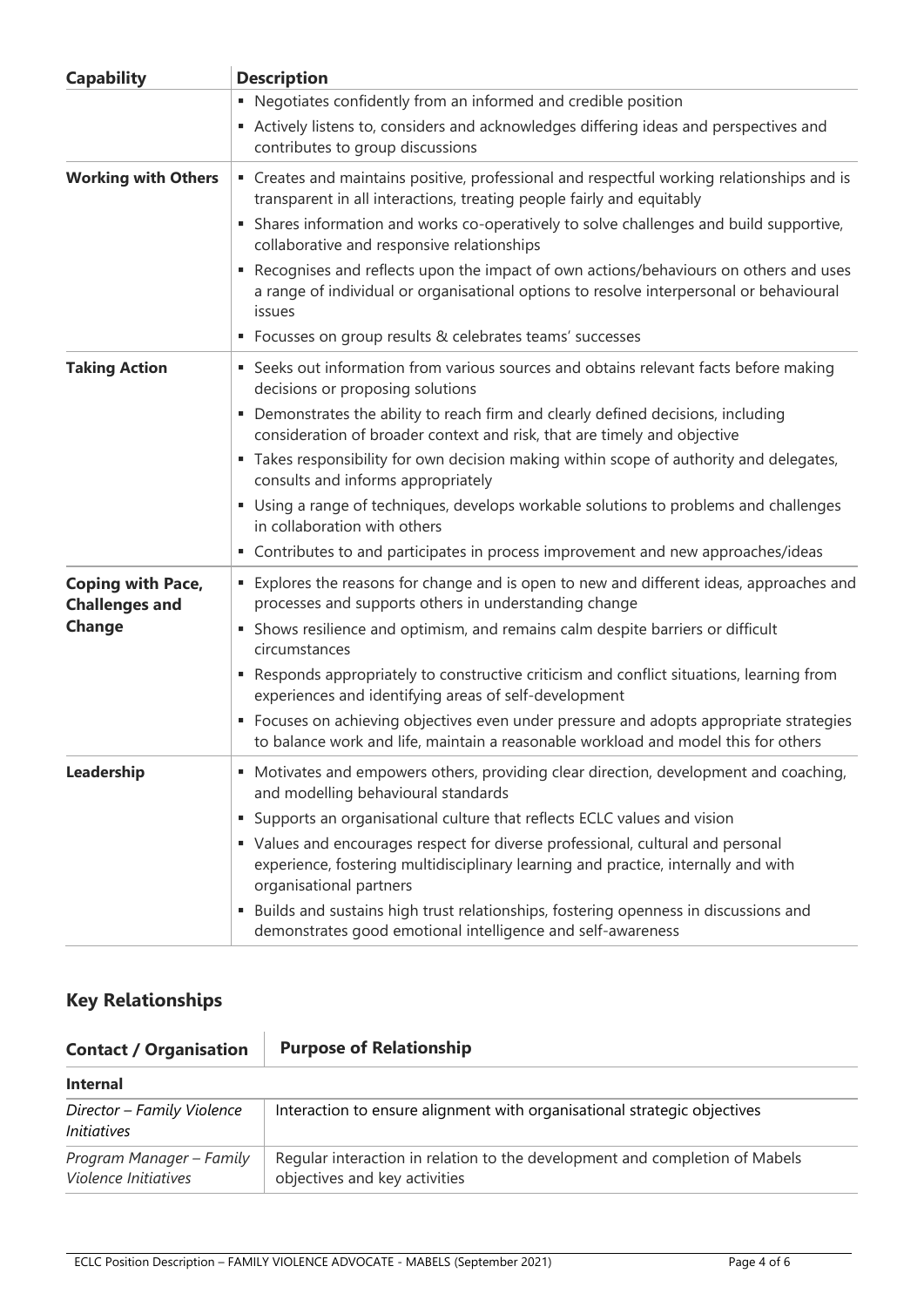| <b>Capability</b>                                 | <b>Description</b>                                                                                                                                                                               |
|---------------------------------------------------|--------------------------------------------------------------------------------------------------------------------------------------------------------------------------------------------------|
|                                                   | • Negotiates confidently from an informed and credible position                                                                                                                                  |
|                                                   | Actively listens to, considers and acknowledges differing ideas and perspectives and<br>contributes to group discussions                                                                         |
| <b>Working with Others</b>                        | • Creates and maintains positive, professional and respectful working relationships and is<br>transparent in all interactions, treating people fairly and equitably                              |
|                                                   | • Shares information and works co-operatively to solve challenges and build supportive,<br>collaborative and responsive relationships                                                            |
|                                                   | Recognises and reflects upon the impact of own actions/behaviours on others and uses<br>٠<br>a range of individual or organisational options to resolve interpersonal or behavioural<br>issues   |
|                                                   | • Focusses on group results & celebrates teams' successes                                                                                                                                        |
| <b>Taking Action</b>                              | • Seeks out information from various sources and obtains relevant facts before making<br>decisions or proposing solutions                                                                        |
|                                                   | • Demonstrates the ability to reach firm and clearly defined decisions, including<br>consideration of broader context and risk, that are timely and objective                                    |
|                                                   | " Takes responsibility for own decision making within scope of authority and delegates,<br>consults and informs appropriately                                                                    |
|                                                   | • Using a range of techniques, develops workable solutions to problems and challenges<br>in collaboration with others                                                                            |
|                                                   | • Contributes to and participates in process improvement and new approaches/ideas                                                                                                                |
| <b>Coping with Pace,</b><br><b>Challenges and</b> | • Explores the reasons for change and is open to new and different ideas, approaches and<br>processes and supports others in understanding change                                                |
| <b>Change</b>                                     | • Shows resilience and optimism, and remains calm despite barriers or difficult<br>circumstances                                                                                                 |
|                                                   | • Responds appropriately to constructive criticism and conflict situations, learning from<br>experiences and identifying areas of self-development                                               |
|                                                   | • Focuses on achieving objectives even under pressure and adopts appropriate strategies<br>to balance work and life, maintain a reasonable workload and model this for others                    |
| Leadership                                        | • Motivates and empowers others, providing clear direction, development and coaching,<br>and modelling behavioural standards                                                                     |
|                                                   | Supports an organisational culture that reflects ECLC values and vision<br>٠                                                                                                                     |
|                                                   | • Values and encourages respect for diverse professional, cultural and personal<br>experience, fostering multidisciplinary learning and practice, internally and with<br>organisational partners |
|                                                   | Builds and sustains high trust relationships, fostering openness in discussions and<br>٠<br>demonstrates good emotional intelligence and self-awareness                                          |

# **Key Relationships**

| <b>Contact / Organisation</b>                    | <b>Purpose of Relationship</b>                                                                               |  |  |
|--------------------------------------------------|--------------------------------------------------------------------------------------------------------------|--|--|
| <b>Internal</b>                                  |                                                                                                              |  |  |
| Director - Family Violence<br><i>Initiatives</i> | Interaction to ensure alignment with organisational strategic objectives                                     |  |  |
| Program Manager - Family<br>Violence Initiatives | Regular interaction in relation to the development and completion of Mabels<br>objectives and key activities |  |  |

l,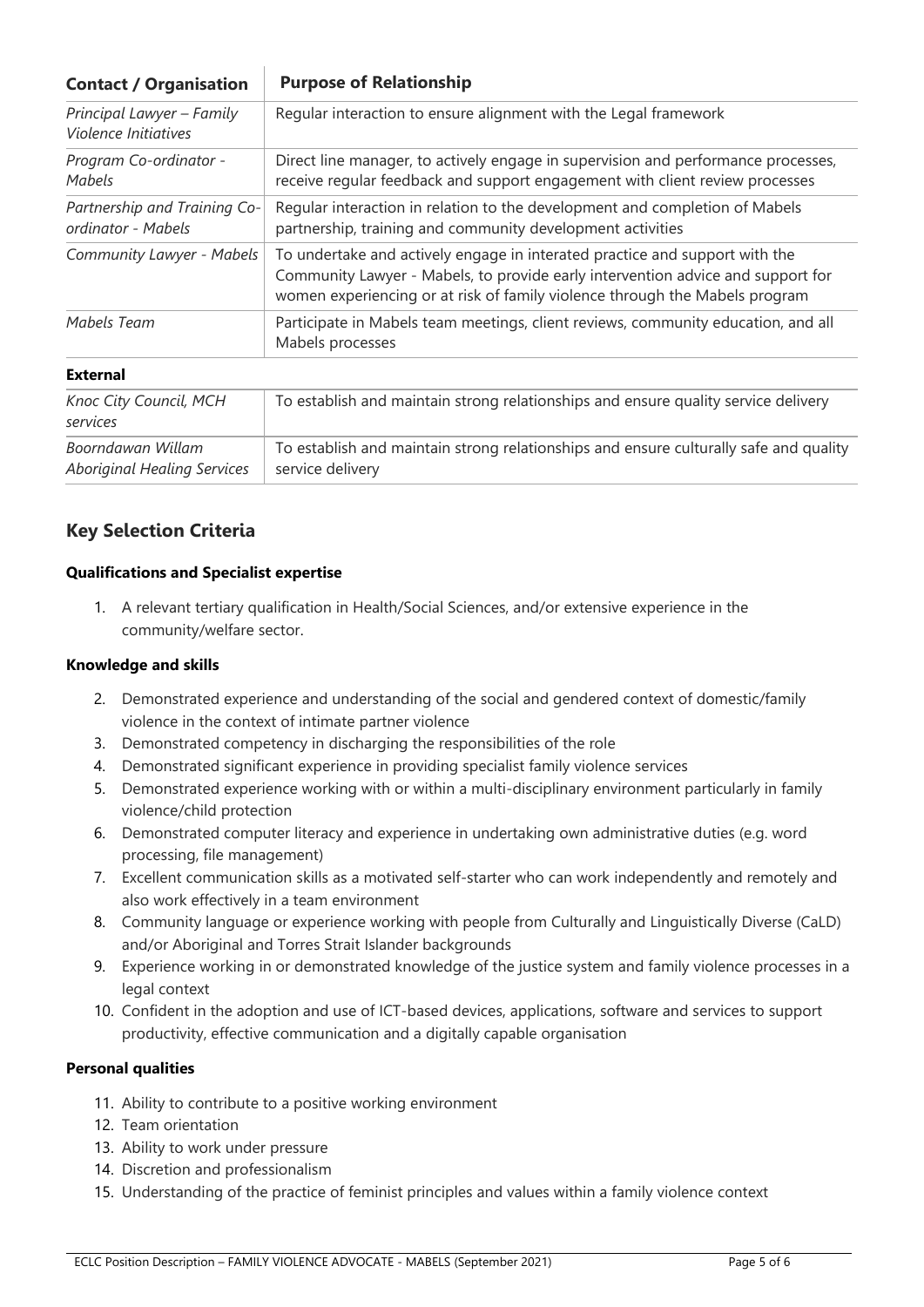| <b>Contact / Organisation</b>                           | <b>Purpose of Relationship</b>                                                                                                                                                                                                                |
|---------------------------------------------------------|-----------------------------------------------------------------------------------------------------------------------------------------------------------------------------------------------------------------------------------------------|
| Principal Lawyer - Family<br>Violence Initiatives       | Regular interaction to ensure alignment with the Legal framework                                                                                                                                                                              |
| Program Co-ordinator -<br>Mabels                        | Direct line manager, to actively engage in supervision and performance processes,<br>receive regular feedback and support engagement with client review processes                                                                             |
| Partnership and Training Co-<br>ordinator - Mabels      | Regular interaction in relation to the development and completion of Mabels<br>partnership, training and community development activities                                                                                                     |
| Community Lawyer - Mabels                               | To undertake and actively engage in interated practice and support with the<br>Community Lawyer - Mabels, to provide early intervention advice and support for<br>women experiencing or at risk of family violence through the Mabels program |
| Mabels Team                                             | Participate in Mabels team meetings, client reviews, community education, and all<br>Mabels processes                                                                                                                                         |
| <b>External</b>                                         |                                                                                                                                                                                                                                               |
| Knoc City Council, MCH<br>services                      | To establish and maintain strong relationships and ensure quality service delivery                                                                                                                                                            |
| Boorndawan Willam<br><b>Aboriginal Healing Services</b> | To establish and maintain strong relationships and ensure culturally safe and quality<br>service delivery                                                                                                                                     |

# **Key Selection Criteria**

#### **Qualifications and Specialist expertise**

1. A relevant tertiary qualification in Health/Social Sciences, and/or extensive experience in the community/welfare sector.

#### **Knowledge and skills**

- 2. Demonstrated experience and understanding of the social and gendered context of domestic/family violence in the context of intimate partner violence
- 3. Demonstrated competency in discharging the responsibilities of the role
- 4. Demonstrated significant experience in providing specialist family violence services
- 5. Demonstrated experience working with or within a multi-disciplinary environment particularly in family violence/child protection
- 6. Demonstrated computer literacy and experience in undertaking own administrative duties (e.g. word processing, file management)
- 7. Excellent communication skills as a motivated self-starter who can work independently and remotely and also work effectively in a team environment
- 8. Community language or experience working with people from Culturally and Linguistically Diverse (CaLD) and/or Aboriginal and Torres Strait Islander backgrounds
- 9. Experience working in or demonstrated knowledge of the justice system and family violence processes in a legal context
- 10. Confident in the adoption and use of ICT-based devices, applications, software and services to support productivity, effective communication and a digitally capable organisation

#### **Personal qualities**

- 11. Ability to contribute to a positive working environment
- 12. Team orientation
- 13. Ability to work under pressure
- 14. Discretion and professionalism
- 15. Understanding of the practice of feminist principles and values within a family violence context